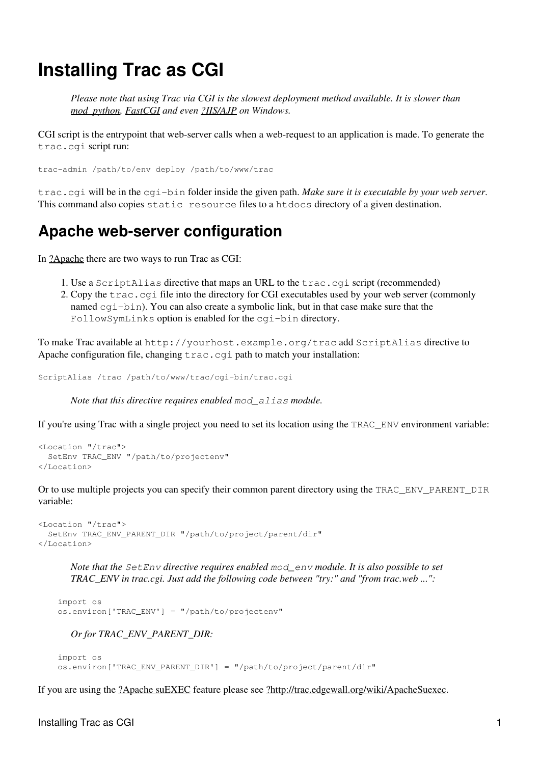# **Installing Trac as CGI**

*Please note that using Trac via CGI is the slowest deployment method available. It is slower than mod\_python, FastCGI and even [?IIS/AJP](http://trac.edgewall.org/intertrac/TracOnWindowsIisAjp) on Windows.*

CGI script is the entrypoint that web-server calls when a web-request to an application is made. To generate the trac.cgi script run:

trac-admin /path/to/env deploy /path/to/www/trac

trac.cgi will be in the cgi-bin folder inside the given path. *Make sure it is executable by your web server*. This command also copies static resource files to a htdocs directory of a given destination.

#### **Apache web-server configuration**

In [?Apache](http://httpd.apache.org/) there are two ways to run Trac as CGI:

- 1. Use a ScriptAlias directive that maps an URL to the trac.cgi script (recommended)
- 2. Copy the trac.cgi file into the directory for CGI executables used by your web server (commonly named cgi-bin). You can also create a symbolic link, but in that case make sure that the FollowSymLinks option is enabled for the cgi-bin directory.

To make Trac available at http://yourhost.example.org/trac add ScriptAlias directive to Apache configuration file, changing  $\text{trace.cgi}$  path to match your installation:

ScriptAlias /trac /path/to/www/trac/cgi-bin/trac.cgi

*Note that this directive requires enabled mod\_alias module.*

If you're using Trac with a single project you need to set its location using the TRAC\_ENV environment variable:

```
<Location "/trac">
   SetEnv TRAC_ENV "/path/to/projectenv"
</Location>
```
Or to use multiple projects you can specify their common parent directory using the TRAC\_ENV\_PARENT\_DIR variable:

```
<Location "/trac">
   SetEnv TRAC_ENV_PARENT_DIR "/path/to/project/parent/dir"
</Location>
```
*Note that the SetEnv directive requires enabled mod\_env module. It is also possible to set TRAC\_ENV in trac.cgi. Just add the following code between "try:" and "from trac.web ...":*

```
 import os
 os.environ['TRAC_ENV'] = "/path/to/projectenv"
```
*Or for TRAC\_ENV\_PARENT\_DIR:*

```
 import os
 os.environ['TRAC_ENV_PARENT_DIR'] = "/path/to/project/parent/dir"
```
If you are using the [?Apache suEXEC](http://httpd.apache.org/docs/suexec.html) feature please see [?http://trac.edgewall.org/wiki/ApacheSuexec.](http://trac.edgewall.org/wiki/ApacheSuexec)